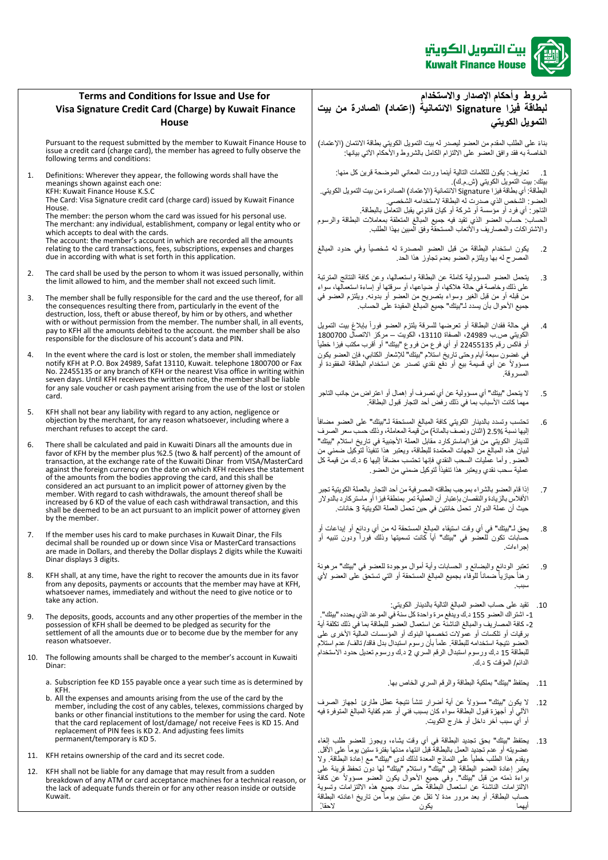

## **Terms and Conditions for Issue and Use for Visa Signature Credit Card (Charge) by Kuwait Finance House**

Pursuant to the request submitted by the member to Kuwait Finance House to issue a credit card (charge card), the member has agreed to fully observe the following terms and conditions:

1. Definitions: Wherever they appear, the following words shall have the meanings shown against each one:

KFH: Kuwait Finance House K.S.C The Card: Visa Signature credit card (charge card) issued by Kuwait Finance House.

The member: the person whom the card was issued for his personal use. The members and person means the care indices the company or legal entity who or which accepts to deal with the cards. The account: the member's account in which are recorded all the amounts relating to the card transactions, fees, subscriptions, expenses and charges

due in according with what is set forth in this application.

- 2. The card shall be used by the person to whom it was issued personally, within the limit allowed to him, and the member shall not exceed such limit.
- 3. The member shall be fully responsible for the card and the use thereof, for all the consequences resulting there from, particularly in the event of the destruction, loss, theft or abuse thereof, by him or by others, and whether with or without permission from the member. The number shall, in all events, pay to KFH all the amounts debited to the account. the member shall be also responsible for the disclosure of his account's data and PIN.
- 4. In the event where the card is lost or stolen, the member shall immediately notify KFH at P.O. Box 24989, Safat 13110, Kuwait. telephone 1800700 or Fax No. 22455135 or any branch of KFH or the nearest Visa office in writing within seven days. Until KFH receives the written notice, the member shall be liable for any sale voucher or cash payment arising from the use of the lost or stolen card.
- 5. KFH shall not bear any liability with regard to any action, negligence or objection by the merchant, for any reason whatsoever, including where a merchant refuses to accept the card.
- 6. There shall be calculated and paid in Kuwaiti Dinars all the amounts due in favor of KFH by the member plus %2.5 (two & half percent) of the amount of transaction, at the exchange rate of the Kuwaiti Dinar from VISA/MasterCard against the foreign currency on the date on which KFH receives the statement of the amounts from the bodies approving the card, and this shall be considered an act pursuant to an implicit power of attorney given by the member. With regard to cash withdrawals, the amount thereof shall be increased by 6 KD of the value of each cash withdrawal transaction, and this shall be deemed to be an act pursuant to an implicit power of attorney given by the member.
- 7. If the member uses his card to make purchases in Kuwait Dinar, the Fils decimal shall be rounded up or down since Visa or MasterCard transactions are made in Dollars, and thereby the Dollar displays 2 digits while the Kuwaiti Dinar displays 3 digits.
- 8. KFH shall, at any time, have the right to recover the amounts due in its favor from any deposits, payments or accounts that the member may have at KFH, whatsoever names, immediately and without the need to give notice or to take any action.
- 9. The deposits, goods, accounts and any other properties of the member in the possession of KFH shall be deemed to be pledged as security for the settlement of all the amounts due or to become due by the member for any reason whatsoever.
- 10. The following amounts shall be charged to the member's account in Kuwaiti Dinar:
	- a. Subscription fee KD 155 payable once a year such time as is determined by KFH.
	- b. All the expenses and amounts arising from the use of the card by the member, including the cost of any cables, telexes, commissions charged by banks or other financial institutions to the member for using the card. Note that the card replacement of lost/damage/ not receive Fees is KD 15. And replacement of PIN fees is KD 2. And adjusting fees limits permanent/temporary is KD 5.
- 11. KFH retains ownership of the card and its secret code.
- 12. KFH shall not be liable for any damage that may result from a sudden breakdown of any ATM or card acceptance machines for a technical reason, or the lack of adequate funds therein or for any other reason inside or outside Kuwait.

**شروط وأحكام اإلصدار واالستخدام لبطاقة فيزا Signature االئتمانية )إعتماد( الصادرة من بيت التمويل الكويتي** 

بناءً على الطلب المقدم من العضو ليصدر له بيت التمويل الكويتي بطاقة الائتمان (الإعتماد) .<br>الخاصةً به فقدً وافق العضو على الالتزام الكامل بالشروط والأحكام الآتي بيانهاً:

1. تعاريف: يكون للكلمات التالية أينما وردت المعاني الموضحة قرين كل منها: بيتك بيت التمويلُ الكويتي (ش م.ك)

البطاقةً: أي بطاقةً فيزاً Signature الائتمانية (الإعتماد) الصادرة من بيت التمويل الكويتي. العضو : الشخص الذي صدرت له البطاقة لاستخدامه الشخصي. التاجر : أي فرد أو مؤسسةً أو شركةً أو كيان قانوني يقبل التعامل بالبطاقة. الحساب ً حساب العضو الذي تقيد فيه جميع المبالغ المتعلقة بمعاملات البطاقة والرسوم والاشتراكات والمصاريف والأنعاب المستحقة وفق المبين بهذا الطلب.

- 2. يكون استخدام البطاقةً من قبل العضو المصدرة له شخصياً وفي حدود المبالغ المصرحًلهًبهاًويلتزمًالعضوًبعدمًتجاوز هذاًالحدً.
- 3. يتحمل العضو المسؤولية كاملةً عن البطاقةً واستعمالها، وعن كافةً النتائج المترتبة على ذلك وخاصةً في حالةً هلاكها، أو ضياعها، أو سرقتها أو إساءة استعمالها، سواء من قبله أو من قبل الغير وسواءً بتصريحٍ من العضو أو بدونه. ويلتزم العضو في جميع الأحوال بأن يسدد لـ"بيتك" جميع المبالغ المقيدة على الحساب.
- 4. في حالة فقدان البطاقة أو تعرضها للسرقة يلتزم العضو فوراً بإبلاغ بيت التمويل الكويتي ص.ب 24989، الصفاة 13110، الكويت – مركز الاتصال 1800700 أو فاكسّ رقّم 22455135 أو أي فرع من فروع "بيتك" أو أقرب مكتب فيزا خطيأً في غضون سبعةً أيام وحتى تاريخُ استلام "بيتك" للإشعار الكتابي، فإن العضو يكون مسؤولاً عن أي قسيمة بيع أو دفع نقدي تصدر عن استخدام البطاقة المفقودة أو المسروقة ً
- 5. الله يتحمل "بيتك" أي مسؤوليةً عن أي تصرف أو إهمال أو اعتراضٍ من جانب التاجر مهما كانت الأسبابَ بما في ذلك رفضً أحد التجار قبول البطاقة.
- 6. تحتسب وتسدد بالدينار الكويتي كافة المبالغ المستحقة لـ"بيتك" على العضو مضافاً إليها نسبةً 2.5% (اثنانٍ ونصفٌ بالمائة) من قيمة المعاملة، وذلك حسب سعرٍ الصرف للدينار الكويتي من فيزا/ماستركارد مقابل العملة الأجنبيةً في تاريخ استلام "بيتك" لبيان هذه المبالغ من الجهات المعتمدة للبطاقة، ويعتبر هذا تنَّفيذاً لتوكيل ضمني من العضو ٍ وأما عمليات السحب النقدي فإنها تحتسب مضافاً إليها 6 د ك من قيمةً كل عملية سحب نقدي ويعتبر هذا تنفيذاً لتوكيل ضمني من العضو ـ
- 7. إذا قام العضو بالشراء بموجب بطاقته المصرفيةً من أحد التجار بالعملة الكويتية تجبر الأفلاس بالزيادة والنقصان بإعتبار أن العملية تمر بمنطقةً فيزاً أو ماستركارد بالدولار حيث أن عملة الدولار تحمل خانتين في حين تحمل العملة الكويتية 3 خانات.
- 8 . يحقً لــ"بيتك" في أي وقت استيقاء المبالغ المستحقةً له من أي ودائع أو إيداعات أو حساباتً تكونً للعضوً فيًً"بيتك"ًًأيا كانت تسميتها وذلك فورا ودون تنبيه أو إجراءاتً.
- 9. تعتبر الودائع والبضائع و الحسابات وأيةً أموال موجودة للعضو في "بيتك" مرهونةً رهناً حيازياً ضماناً للوفاء بجميع المبالغ المستحقة أو التي تستحق على العضو لأي سببً.
- 10. تقيدً على حساب العضو المبالغ التالية بالدينار الكويتي: 1- اشتر اك العضو 155 د.كً ويدفع مرةً واحدةً كل سنةً في الموعد الذي يحدده "بيتك". 2- كافةً المصاريف والمبالغ الناشئةً عن استعمال العضو للبطاقة بما في ذلك تكلفةً أيةً برقياتً أو تلكسات أو عمولات تخصمها البنوك أو المؤسسات المالية الأخرى على العضو نتيجة استخدامه للبطاقة. علماً بأن رسوم استبدال بدل فاقد/ تالف/ عدم استلام للبطاقةً 15 د.ك ورسوم استبدال الرقم السري 2ً د.ك ورسوم تعديلً حدود الاستخدام .<br>الدائم/ المؤقت 5 د.ك
	- 11. يحتفظ "بيتك" بملكية البطاقة والرقم السري الخاص بها.
- 12. لا يكون "بيتك" مسؤولاً عن أية أضرار تنشأ نتيجةً عطل طارئ لجهاز الصرف -<br>الآل<sub>ي</sub> أو اجهزةً قبول البطاقةً سواءً كان بسبب فني أو عدم كفايةً المبالغ المتوفرة فيه أو أي سبب آخر داخل أو خارجً الكويت.
- 13. يحتفظ "بيتك" بحق تجديد البطاقة في أي وقت يشاء، ويجوز للعضو طلب إلغاء عضويته أو عدم تجديد العمل بالبطاقةً قبلً انتهاء مدتها بفترة ستين يوماً على الأقل. ويقدم هذا الطلب خطياً على النماذج المعدة لذلك لدى "بيتك" مع إعادة البطاقة. ولا يعتبرًا إعادة العضو البطاقة إلى "بيتك" واستلام "بيتك"ً لها دون تحفظ قرينةً على براءةً ذمته من قبل "بيتك". وفي جميع الأحوال يكون العضو مسؤولاً عن كافة الالتزامات الناشئةً عن استعمال البطاقة حتى سداد جميع هذه الالتزامات وتسويةً حساب البطاقة. أو بعد مرور مدة لا تقل عنّ ستين يوماً من تاريخ اعادته البطاقة أيهماً يكونً الحقا. ً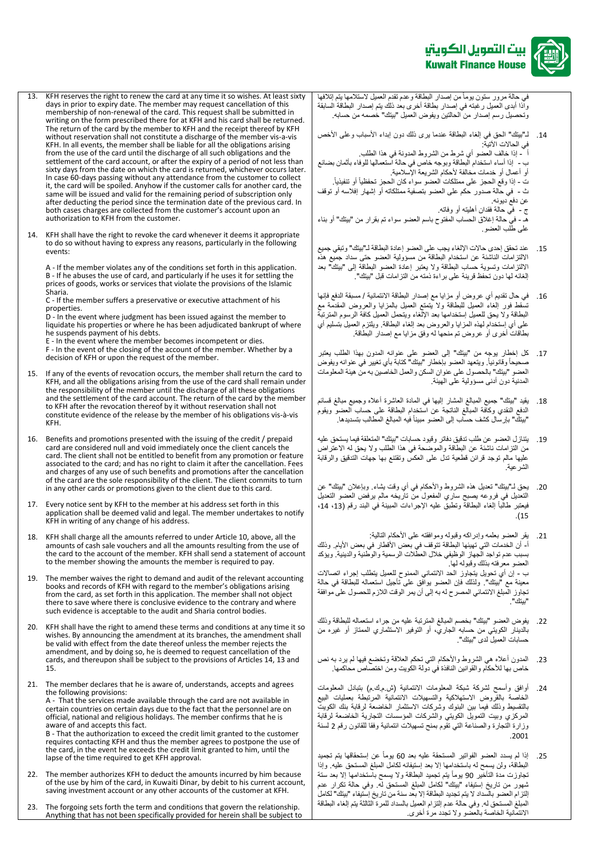

في حالة مرور ستون يومأ من إصدار البطاقة وعدم تقدم العميل لاستلامها يتم إتلافها واذاً أبدى العميل رغبته في إصدار بطاقةً أخرى بعد ذلك يتم إصدار البطاقة السابقة وتحصيلٍ رسم إصدار من الحالتين ويفوض العميل "بيتك" خصمه من حسابه.

14. لـ"بيتك" الحقّ في إلغاء البطاقة عندماً يرى ذلك دون إبداء الأسباب وعلى الأخص في الحالات الآتية:

أ<br>أ - إذا خالف العضو أي شرط من الشروط المدونة في هذا الطلب

ب - ً إذا أساء استخدام البطاقة وبوجه خاص في حالة استعمالها للوفاء بأثمان بضائع .<br>أو أعمال أو خدمات مخالفة لأحكام الشريعة الإسلامية.

ت - إذا وقع الحجز على ممتلكات العضو سواء كان الحجز تحفظياً أو تنفيذياً.

ث - في حالةً صدور حكم على العضو بتصفيةً ممتلكاته أو إشهار إفلاسه أو توقف عن دفع ديونه.

ج - في حالةً فقدانٍ أهليته أو وفاتهً.

هـ - في حالةً إغلاق الحساب المفتوح باسم العضو سواء تم بقرارٍ من "بيتك" أو بناء على طلّب العضو

- 15. عند تحقق إحدى حالات الإلغاء يجب على العضو إعادة البطاقة لـ"بيتك" وتبقي جميع الالتزامات الناشئةً عن استخدام البطاقةً من مسؤولية العضو حتى سداد جميع هذه الالتزامات وتسويةً حساب البطاقةً ولا يعتبر إعادة العضو البطاقة إلى "بيتك" بعد يس في الرسمين.<br>إلغائه لها دون تحفظ قرينةً على بر اءةً ذمته من التزامات قبل "بيتك".
- 16. في حال تقديم أي عروض أو مزاياً مع إصدار البطاقة الائتمانية / مسبقة الدفع فإنها تسقطً فور إلغاء العميل للبطاقةً ولا يتمتع العميل بالمزايا والعروض المقدمةً مع البطاقةً ولا يحق للعميل إستخدامهاً بعدً الإلغاء ويتحمل العميل كافةً الرسوم المترتبةً على أي إستخدام لهذه المزايا والعروض بعد إلغاء البطاقة. ويلتزم العميل بتسليم أي بطاقاتً أخرى أو عروضٌ تم منحهاً له وفقٍ مزاياً مع إصدار البطاقة.
- 17. كل إخطار يوجه من "بيتك" إلى العضو على عنوانه المدون بهذا الطلب يعتبرً صحيحاً وقانونياً. ويتعهد العضو بإخطار "بيتك" كتابة بأي تغيير في عنوانه ويفوض العضو "بيتك" بالحصول على عنوان السكن والعمل الخاصين به من هيئة المعلومات المدنيةً دون أدنى مسؤوليةً على الهيئة.
- 18. يقيد "بيتك" جميع المبالغ المشار إليها في المادة العاشرة أعلاه وجميع مبالغ قسائم الدفع النقدي وكافةً المبالغ الناتجةً عن استخدام البطاقةً على حساب العضوّ ويقومُ "بيتك" بإرسال كشف حساب إلى العضو مبيناً فيه المبالغ المطالب بتسديدها.
- 19. يتنازل العضو عن طلب تدقيق دفاتر وقيود حسابات "بيتك" المتعلقة فيما يستحق عليه من التزامات ناشئةً عن البطاقة والموضحةً في هذا الطلب ولا يحق له الاعتراض عليها مالم توجدً قرائن قطعيةً تدل على العكس وتقتنع بها جهات التدقيق والرقابة الشرعيةً.ً
- 20 . يحقً لـ"بيتك" تعديلً هذه الشروط والأحكام في أي وقت يشاءً. وبإعلان "بيتك" عن التعديل في فروعه يصبح ساري المفعول من تاريخه مالم يرفض العضو التعديل نيعتبر طالّباً إلغاء البطاقةً وتطبقٌ عليه الإجراءات المبينة في البند رقم (13، 14، ً.)15

21 . يقرُّ العضو بعلمه وإدراكه وقبوله وموافقته على الأحكام التالية: ا- أن الخدمات التي تهيئها البطاقة تتوقف في بعض الأقطار في بعض الأيام. وذلك بسبب عدم تواجد الجهاز الوظيفي خلال العطلات الرسميةً والوطنية والدينية ويؤكد . . . .<br>العضو معرفته بذلك وقبوله لها . ب - إن أي تحويلً يتجاوز الحد الائتماني الممنوح للعميل يتطلب إجراء اتصالات معينةً مع "بيتك". ولذلك فإن العضو بوافقٍ على تأجيل استعماله للبطاقة في حالةً تجاوز المبلغ الائتمائي المصرح له به إلى أن يمر الوقت اللازم للحصول على موافقةً "بيتك".

- 22. يفوض العضو "بيتك" بخصم المبالغ المترتبةً عليه من جراء استعماله للبطاقةً وذلك بالدينار الكويتي من حسابه الجاري، أو التوفير الاستثماري الممتاز أو غيرهً من حسابات العميل لدى "بيتك".
- 23 . المدون أعلاه هي الشروط والأحكام التي تحكم العلاقةً وتخضع فيها لم يرد به نص خاص بها للأحكام والقوانين النافذة في دولة الكويت ومن اختصاص محاكمها.
- 24. أوافقٍ وأسمح لشركةً شبكةً المعلومات الائتمانيةً (ش.م.ك.م) بتبادل المعلومات الخاصةً بالقروضً االستهالكيةً والتسهيالتً االئتمانيةً المرتبطةً بعملياتً البيعً بالتقسيطًوذلكًفيماًبينًالبنوكًًوشركاتًاالستثمارًالخاضعةًلرقابةًبنكًالكويتً المركزي وبيت التمويل الكويتي والشركات المؤسسات التجارية الخاضعة لرقابة وزارةً التجارةً والصناعة التي تقومً بمنح تسهيلات ائتمانيةً وفقاً للقانون رقم 2 لسنةً ً.2001
- 25 إذاً لم يسدد العضو الفواتير المستحقةً عليه بعد 60 يوماً عن إستحقاقها يتم تجميدً البطاقة، ولن يسمح له باستخدامها إلا بعد إستيفائه لكاملً المبلغ المستحقّ عليه. وإذا ي<br>تجاوزت مدة التأخير 90 يوماً يتم تجميد البطاقة ولا يسمح باستخدامها إلا بعد ستة شهور من تاريخ إستيفاء "بيتك" لكامل المبلغ المستحق له. وفي حالة تكرار عدم إلتزام العضو بالسداد لا يتم تجديد البطاقة إلا بعد سنةً من تاريخ إستيفاء "بيتك" لكاملً المبلغُ المستحقّ له. وفي حالةً عدم إلتزام العميل بالسداد للمرة الثالثةً يتم إلّغاء البطاقة الانتمانية الخاصة بالعضو ولا تجدد مرة أخرىً.
- 13. KFH reserves the right to renew the card at any time it so wishes. At least sixty days in prior to expiry date. The member may request cancellation of this membership of non-renewal of the card. This request shall be submitted in writing on the form prescribed there for at KFH and his card shall be returned. The return of the card by the member to KFH and the receipt thereof by KFH without reservation shall not constitute a discharge of the member vis-a-vis KFH. In all events, the member shall be liable for all the obligations arising from the use of the card until the discharge of all such obligations and the settlement of the card account, or after the expiry of a period of not less than sixty days from the date on which the card is returned, whichever occurs later. In case 60-days passing without any attendance from the customer to collect it, the card will be spoiled. Anyhow if the customer calls for another card, the same will be issued and valid for the remaining period of subscription only after deducting the period since the termination date of the previous card. In both cases charges are collected from the customer's account upon an authorization to KFH from the customer.
- 14. KFH shall have the right to revoke the card whenever it deems it appropriate to do so without having to express any reasons, particularly in the following events:

A - If the member violates any of the conditions set forth in this application. B - If he abuses the use of card, and particularly if he uses it for settling the prices of goods, works or services that violate the provisions of the Islamic Sharia.

C - If the member suffers a preservative or executive attachment of his properties.

D - In the event where judgment has been issued against the member to liquidate his properties or where he has been adjudicated bankrupt of where he suspends payment of his debts.

E - In the event where the member becomes incompetent or dies.

F - In the event of the closing of the account of the member. Whether by a decision of KFH or upon the request of the member.

- 15. If any of the events of revocation occurs, the member shall return the card to KFH, and all the obligations arising from the use of the card shall remain under the responsibility of the member until the discharge of all these obligations and the settlement of the card account. The return of the card by the member to KFH after the revocation thereof by it without reservation shall not constitute evidence of the release by the member of his obligations vis-à-vis KFH.
- 16. Benefits and promotions presented with the issuing of the credit / prepaid card are considered null and void immediately once the client cancels the card. The client shall not be entitled to benefit from any promotion or feature associated to the card; and has no right to claim it after the cancellation. Fees and charges of any use of such benefits and promotions after the cancellation of the card are the sole responsibility of the client. The client commits to turn in any other cards or promotions given to the client due to this card.

17. Every notice sent by KFH to the member at his address set forth in this application shall be deemed valid and legal. The member undertakes to notify KFH in writing of any change of his address.

- 18. KFH shall charge all the amounts referred to under Article 10, above, all the amounts of cash sale vouchers and all the amounts resulting from the use of the card to the account of the member. KFH shall send a statement of account to the member showing the amounts the member is required to pay.
- 19. The member waives the right to demand and audit of the relevant accounting books and records of KFH with regard to the member's obligations arising from the card, as set forth in this application. The member shall not object there to save where there is conclusive evidence to the contrary and where such evidence is acceptable to the audit and Sharia control bodies.
- 20. KFH shall have the right to amend these terms and conditions at any time it so wishes. By announcing the amendment at its branches, the amendment shall be valid with effect from the date thereof unless the member rejects the amendment, and by doing so, he is deemed to request cancellation of the cards, and thereupon shall be subject to the provisions of Articles 14, 13 and 15.
- 21. The member declares that he is aware of, understands, accepts and agrees the following provisions: A - That the services made available through the card are not available in certain countries on certain days due to the fact that the personnel are on official, national and religious holidays. The member confirms that he is aware of and accepts this fact. B - That the authorization to exceed the credit limit granted to the customer requires contacting KFH and thus the member agrees to postpone the use of the card, in the event he exceeds the credit limit granted to him, until the lapse of the time required to get KFH approval.
- 22. The member authorizes KFH to deduct the amounts incurred by him because of the use by him of the card, in Kuwaiti Dinar, by debit to his current account, saving investment account or any other accounts of the customer at KFH.
- 23. The forgoing sets forth the term and conditions that govern the relationship. Anything that has not been specifically provided for herein shall be subject to